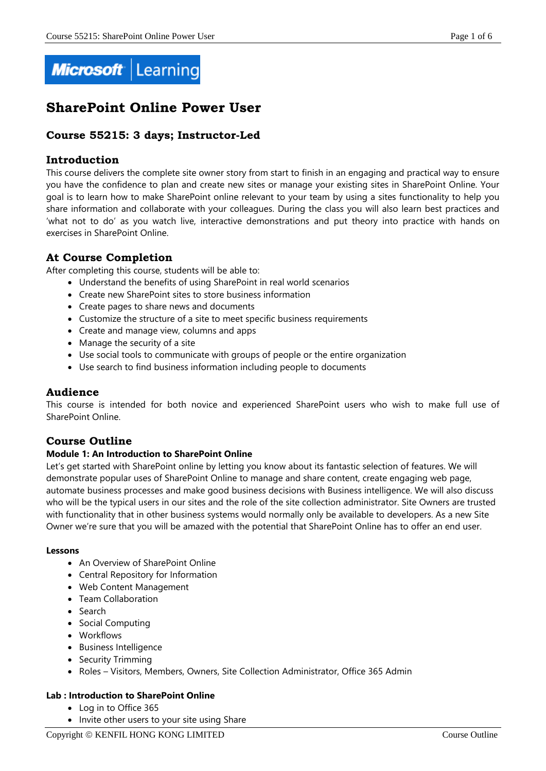

# **SharePoint Online Power User**

# **Course 55215: 3 days; Instructor-Led**

# **Introduction**

This course delivers the complete site owner story from start to finish in an engaging and practical way to ensure you have the confidence to plan and create new sites or manage your existing sites in SharePoint Online. Your goal is to learn how to make SharePoint online relevant to your team by using a sites functionality to help you share information and collaborate with your colleagues. During the class you will also learn best practices and 'what not to do' as you watch live, interactive demonstrations and put theory into practice with hands on exercises in SharePoint Online.

# **At Course Completion**

After completing this course, students will be able to:

- Understand the benefits of using SharePoint in real world scenarios
- Create new SharePoint sites to store business information
- Create pages to share news and documents
- Customize the structure of a site to meet specific business requirements
- Create and manage view, columns and apps
- Manage the security of a site
- Use social tools to communicate with groups of people or the entire organization
- Use search to find business information including people to documents

# **Audience**

This course is intended for both novice and experienced SharePoint users who wish to make full use of SharePoint Online.

# **Course Outline**

#### **Module 1: An Introduction to SharePoint Online**

Let's get started with SharePoint online by letting you know about its fantastic selection of features. We will demonstrate popular uses of SharePoint Online to manage and share content, create engaging web page, automate business processes and make good business decisions with Business intelligence. We will also discuss who will be the typical users in our sites and the role of the site collection administrator. Site Owners are trusted with functionality that in other business systems would normally only be available to developers. As a new Site Owner we're sure that you will be amazed with the potential that SharePoint Online has to offer an end user.

#### **Lessons**

- An Overview of SharePoint Online
- Central Repository for Information
- Web Content Management
- Team Collaboration
- Search
- Social Computing
- Workflows
- Business Intelligence
- Security Trimming
- Roles Visitors, Members, Owners, Site Collection Administrator, Office 365 Admin

#### **Lab : Introduction to SharePoint Online**

- Log in to Office 365
- Invite other users to your site using Share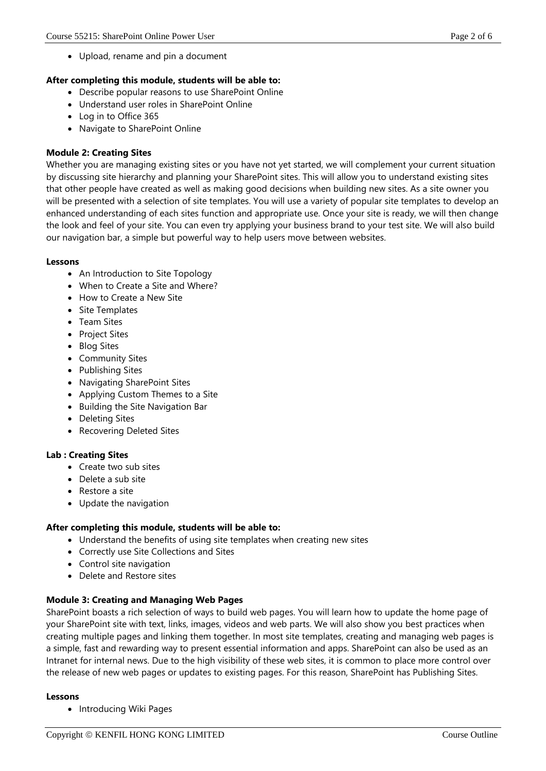• Upload, rename and pin a document

#### **After completing this module, students will be able to:**

- Describe popular reasons to use SharePoint Online
- Understand user roles in SharePoint Online
- Log in to Office 365
- Navigate to SharePoint Online

# **Module 2: Creating Sites**

Whether you are managing existing sites or you have not yet started, we will complement your current situation by discussing site hierarchy and planning your SharePoint sites. This will allow you to understand existing sites that other people have created as well as making good decisions when building new sites. As a site owner you will be presented with a selection of site templates. You will use a variety of popular site templates to develop an enhanced understanding of each sites function and appropriate use. Once your site is ready, we will then change the look and feel of your site. You can even try applying your business brand to your test site. We will also build our navigation bar, a simple but powerful way to help users move between websites.

#### **Lessons**

- An Introduction to Site Topology
- When to Create a Site and Where?
- How to Create a New Site
- Site Templates
- Team Sites
- Project Sites
- Blog Sites
- Community Sites
- Publishing Sites
- Navigating SharePoint Sites
- Applying Custom Themes to a Site
- Building the Site Navigation Bar
- Deleting Sites
- Recovering Deleted Sites

#### **Lab : Creating Sites**

- Create two sub sites
- Delete a sub site
- Restore a site
- Update the navigation

#### **After completing this module, students will be able to:**

- Understand the benefits of using site templates when creating new sites
- Correctly use Site Collections and Sites
- Control site navigation
- Delete and Restore sites

# **Module 3: Creating and Managing Web Pages**

SharePoint boasts a rich selection of ways to build web pages. You will learn how to update the home page of your SharePoint site with text, links, images, videos and web parts. We will also show you best practices when creating multiple pages and linking them together. In most site templates, creating and managing web pages is a simple, fast and rewarding way to present essential information and apps. SharePoint can also be used as an Intranet for internal news. Due to the high visibility of these web sites, it is common to place more control over the release of new web pages or updates to existing pages. For this reason, SharePoint has Publishing Sites.

#### **Lessons**

• Introducing Wiki Pages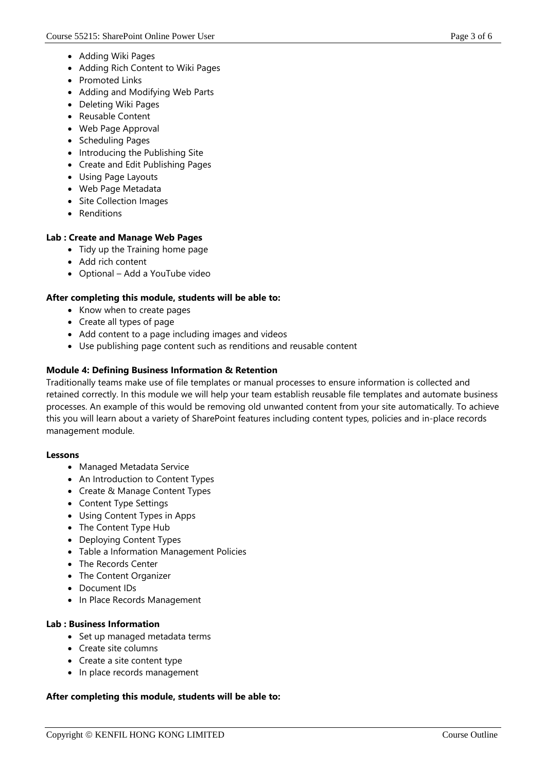- Adding Wiki Pages
- Adding Rich Content to Wiki Pages
- Promoted Links
- Adding and Modifying Web Parts
- Deleting Wiki Pages
- Reusable Content
- Web Page Approval
- Scheduling Pages
- Introducing the Publishing Site
- Create and Edit Publishing Pages
- Using Page Layouts
- Web Page Metadata
- Site Collection Images
- Renditions

#### **Lab : Create and Manage Web Pages**

- Tidy up the Training home page
- Add rich content
- Optional Add a YouTube video

#### **After completing this module, students will be able to:**

- Know when to create pages
- Create all types of page
- Add content to a page including images and videos
- Use publishing page content such as renditions and reusable content

#### **Module 4: Defining Business Information & Retention**

Traditionally teams make use of file templates or manual processes to ensure information is collected and retained correctly. In this module we will help your team establish reusable file templates and automate business processes. An example of this would be removing old unwanted content from your site automatically. To achieve this you will learn about a variety of SharePoint features including content types, policies and in-place records management module.

#### **Lessons**

- Managed Metadata Service
- An Introduction to Content Types
- Create & Manage Content Types
- Content Type Settings
- Using Content Types in Apps
- The Content Type Hub
- Deploying Content Types
- Table a Information Management Policies
- The Records Center
- The Content Organizer
- Document IDs
- In Place Records Management

#### **Lab : Business Information**

- Set up managed metadata terms
- Create site columns
- Create a site content type
- In place records management

#### **After completing this module, students will be able to:**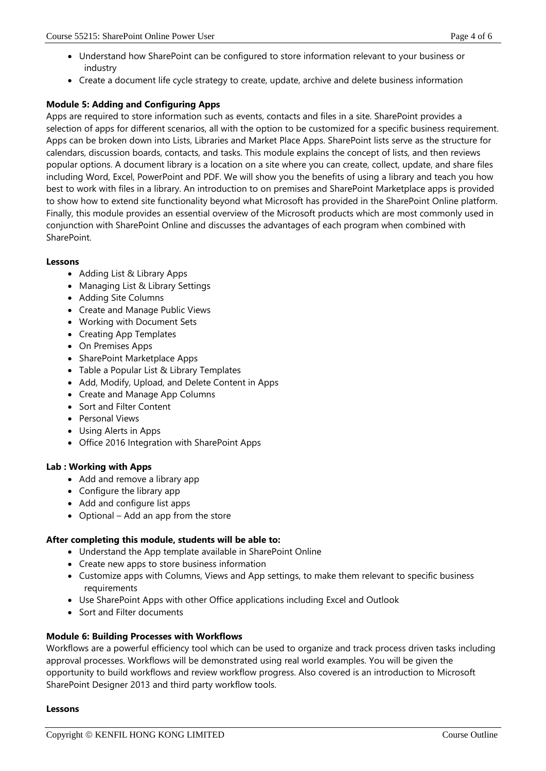- Understand how SharePoint can be configured to store information relevant to your business or industry
- Create a document life cycle strategy to create, update, archive and delete business information

# **Module 5: Adding and Configuring Apps**

Apps are required to store information such as events, contacts and files in a site. SharePoint provides a selection of apps for different scenarios, all with the option to be customized for a specific business requirement. Apps can be broken down into Lists, Libraries and Market Place Apps. SharePoint lists serve as the structure for calendars, discussion boards, contacts, and tasks. This module explains the concept of lists, and then reviews popular options. A document library is a location on a site where you can create, collect, update, and share files including Word, Excel, PowerPoint and PDF. We will show you the benefits of using a library and teach you how best to work with files in a library. An introduction to on premises and SharePoint Marketplace apps is provided to show how to extend site functionality beyond what Microsoft has provided in the SharePoint Online platform. Finally, this module provides an essential overview of the Microsoft products which are most commonly used in conjunction with SharePoint Online and discusses the advantages of each program when combined with SharePoint.

#### **Lessons**

- Adding List & Library Apps
- Managing List & Library Settings
- Adding Site Columns
- Create and Manage Public Views
- Working with Document Sets
- Creating App Templates
- On Premises Apps
- SharePoint Marketplace Apps
- Table a Popular List & Library Templates
- Add, Modify, Upload, and Delete Content in Apps
- Create and Manage App Columns
- Sort and Filter Content
- Personal Views
- Using Alerts in Apps
- Office 2016 Integration with SharePoint Apps

#### **Lab : Working with Apps**

- Add and remove a library app
- Configure the library app
- Add and configure list apps
- Optional Add an app from the store

#### **After completing this module, students will be able to:**

- Understand the App template available in SharePoint Online
- Create new apps to store business information
- Customize apps with Columns, Views and App settings, to make them relevant to specific business requirements
- Use SharePoint Apps with other Office applications including Excel and Outlook
- Sort and Filter documents

#### **Module 6: Building Processes with Workflows**

Workflows are a powerful efficiency tool which can be used to organize and track process driven tasks including approval processes. Workflows will be demonstrated using real world examples. You will be given the opportunity to build workflows and review workflow progress. Also covered is an introduction to Microsoft SharePoint Designer 2013 and third party workflow tools.

#### **Lessons**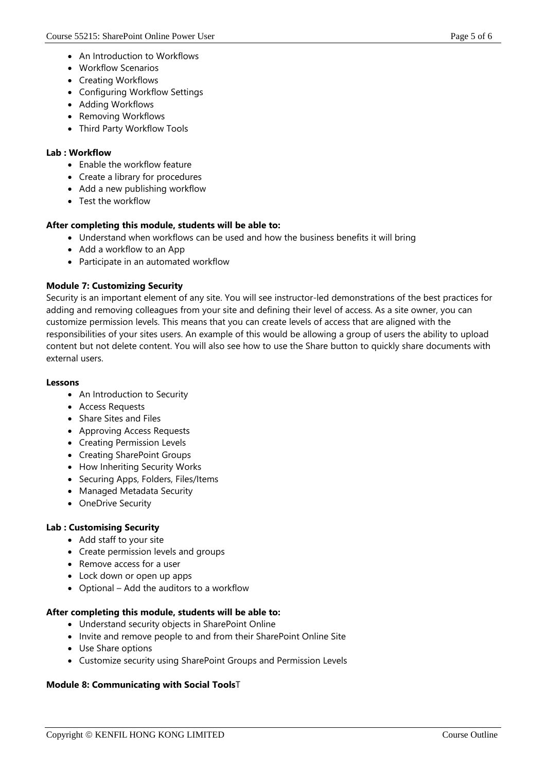- An Introduction to Workflows
- Workflow Scenarios
- Creating Workflows
- Configuring Workflow Settings
- Adding Workflows
- Removing Workflows
- Third Party Workflow Tools

#### **Lab : Workflow**

- Enable the workflow feature
- Create a library for procedures
- Add a new publishing workflow
- Test the workflow

# **After completing this module, students will be able to:**

- Understand when workflows can be used and how the business benefits it will bring
- Add a workflow to an App
- Participate in an automated workflow

# **Module 7: Customizing Security**

Security is an important element of any site. You will see instructor-led demonstrations of the best practices for adding and removing colleagues from your site and defining their level of access. As a site owner, you can customize permission levels. This means that you can create levels of access that are aligned with the responsibilities of your sites users. An example of this would be allowing a group of users the ability to upload content but not delete content. You will also see how to use the Share button to quickly share documents with external users.

#### **Lessons**

- An Introduction to Security
- Access Requests
- Share Sites and Files
- Approving Access Requests
- Creating Permission Levels
- Creating SharePoint Groups
- How Inheriting Security Works
- Securing Apps, Folders, Files/Items
- Managed Metadata Security
- OneDrive Security

#### **Lab : Customising Security**

- Add staff to your site
- Create permission levels and groups
- Remove access for a user
- Lock down or open up apps
- Optional Add the auditors to a workflow

#### **After completing this module, students will be able to:**

- Understand security objects in SharePoint Online
- Invite and remove people to and from their SharePoint Online Site
- Use Share options
- Customize security using SharePoint Groups and Permission Levels

#### **Module 8: Communicating with Social Tools**T